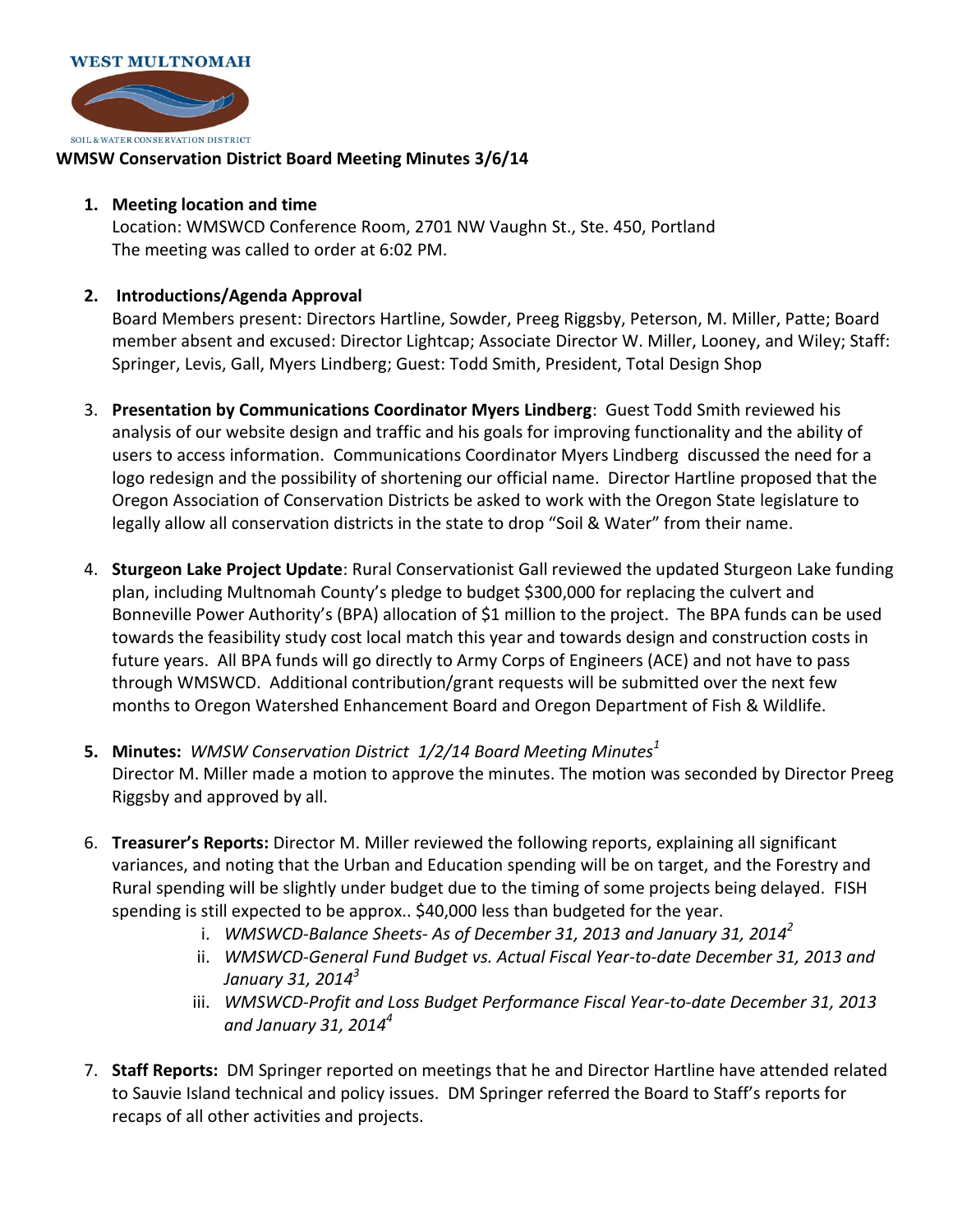

## **WMSW Conservation District Board Meeting Minutes 3/6/14**

## **1. Meeting location and time**

Location: WMSWCD Conference Room, 2701 NW Vaughn St., Ste. 450, Portland The meeting was called to order at 6:02 PM.

## **2. Introductions/Agenda Approval**

Board Members present: Directors Hartline, Sowder, Preeg Riggsby, Peterson, M. Miller, Patte; Board member absent and excused: Director Lightcap; Associate Director W. Miller, Looney, and Wiley; Staff: Springer, Levis, Gall, Myers Lindberg; Guest: Todd Smith, President, Total Design Shop

- 3. **Presentation by Communications Coordinator Myers Lindberg**: Guest Todd Smith reviewed his analysis of our website design and traffic and his goals for improving functionality and the ability of users to access information. Communications Coordinator Myers Lindberg discussed the need for a logo redesign and the possibility of shortening our official name. Director Hartline proposed that the Oregon Association of Conservation Districts be asked to work with the Oregon State legislature to legally allow all conservation districts in the state to drop "Soil & Water" from their name.
- 4. **Sturgeon Lake Project Update**: Rural Conservationist Gall reviewed the updated Sturgeon Lake funding plan, including Multnomah County's pledge to budget \$300,000 for replacing the culvert and Bonneville Power Authority's (BPA) allocation of \$1 million to the project. The BPA funds can be used towards the feasibility study cost local match this year and towards design and construction costs in future years. All BPA funds will go directly to Army Corps of Engineers (ACE) and not have to pass through WMSWCD. Additional contribution/grant requests will be submitted over the next few months to Oregon Watershed Enhancement Board and Oregon Department of Fish & Wildlife.
- **5. Minutes:** *WMSW Conservation District 1/2/14 Board Meeting Minutes<sup>1</sup>* Director M. Miller made a motion to approve the minutes. The motion was seconded by Director Preeg Riggsby and approved by all.
- 6. **Treasurer's Reports:** Director M. Miller reviewed the following reports, explaining all significant variances, and noting that the Urban and Education spending will be on target, and the Forestry and Rural spending will be slightly under budget due to the timing of some projects being delayed. FISH spending is still expected to be approx.. \$40,000 less than budgeted for the year.
	- i. *WMSWCD-Balance Sheets- As of December 31, 2013 and January 31, 2014<sup>2</sup>*
	- ii. *WMSWCD-General Fund Budget vs. Actual Fiscal Year-to-date December 31, 2013 and January 31, 2014<sup>3</sup>*
	- iii. *WMSWCD-Profit and Loss Budget Performance Fiscal Year-to-date December 31, 2013 and January 31, 2014<sup>4</sup>*
- 7. **Staff Reports:** DM Springer reported on meetings that he and Director Hartline have attended related to Sauvie Island technical and policy issues. DM Springer referred the Board to Staff's reports for recaps of all other activities and projects.